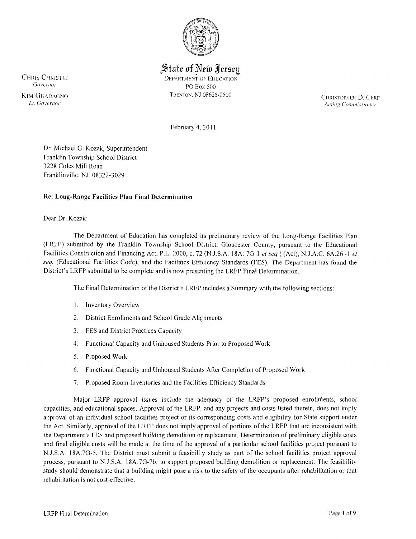

State of New Jersey

CHRIS CHRISTIE DEPARTMENT OF EDUCATION<br>
Covernor DO Boy 500 PO Box 500

KIM GUADAGNO TRlONTON. NJ 08625-0500 CHRISTOPHER D. CERro **Acting Commissioner** 

February 4, 20 II

Dr, Michael G, Kozak, Superintendent Franklin Township School District 3228 Coles Mill Road Franklinville. NJ 08322-3029

# Re: Long-Range Facilities Plan Final Determination

Dear Dr. Kozak:

The Department of Education has completed its preliminary review of the Long-Range Facilities Plan (LRFP) submitted by the Franklin Township School District, Gloucester County, pursuant to the Educational Facilities Construction and Financing Act, P,L. 2000, c. 72 (NJ,S,A, 18A: 7G.. I *et seq,)* (Act), NJ.A.C. 6A:26 -1 *et seq,* (Educational Facilities Code), and the Facilities Efficiency Standards (FES), The Department has found the District's LRFP submittal to be complete and is now presenting the LRFP Final Determination,

The Final Determination of the District's LRFP includes a Summary with the following sections:

- 1. Inventory Overview
- 2, District Enrollments and School Grade Alignments
- 3, FES and District Practices Capacity
- 4, Functional Capacity and Unhowed Students Prior to Proposed Work
- 5, Proposed Work
- 6, Functional Capacity and Unhow:ed Students After Completion of Proposed Work
- 7, Proposed Room Inventories and the Facilities Efficiency Standards

Major LRFP approval issues include the adequacy of the LRFP's proposed enrollments, school capacities, and educational spaces. Approval of the LRFP, and any projects and costs listed therein, does not imply approval of an individual school facilities project or its corresponding costs and eligibility for State support under the Act. Similarly, approval of the LRFP does not imply approval of portions of the LRFP that are inconsistent with the Department's FES and proposed building demolition or replacement. Determination of preliminary eligible costs and final eligible costs will be made at the time of the approval of a particular school facilities project pursuant to N.J.S.A, 18A:7G-5. The District must submit a feasibility study as part of the school facilities project approval process, pursuant to NJ,S,A. 18A:7G-7b, to support proposed building demolition or replacement. The feasibility study should demonstrate that a building might pose a risk to the safety of the occupants after rehabilitation or that rehabilitation is not cost-effective,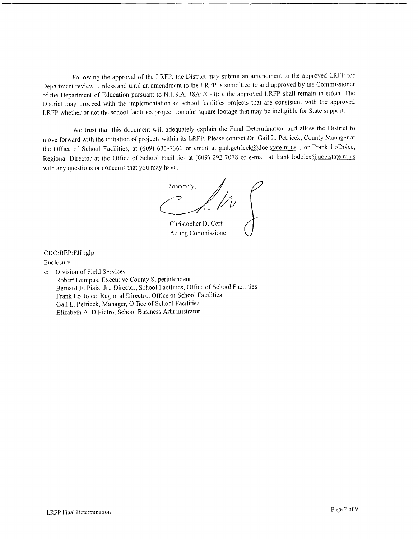Following the approval of the LRFP, the District may submit an amendment to the approved LRFP for Department review. Unless and until an amendment to the LRFP is submitted to and approved by the Commissioner of the Department of Education pursuant to N.J.S.A. 18A: ig-4(c), the approved LRFP shall remain in effect. The District may proceed with the implementation of school facilities projects that are consistent with the approved LRFP whether or not the school facilities project :ontains square footage that may be ineligible for State support.

We trust that this document will adequately explain the Final Determination and allow the District to move forward with the initiation of projects within its LRFP. Please contact Dr. Gail L. Petricek, County Manager at the Office of School Facilities, at (609) 633-7360 or email at gail.petricek@doe.state.nj.us, or Frank LoDolce, Regional Director at the Office of School Facilities at (609) 292-7078 or e-mail at frank.lodolce@doe.state.nj.us with any questions or concerns that you may have.

Sincerely, Christopher I). Cerf

Acting Commissioner

CDC:BEP:F1L:glp

Enclosure

c: Division of Field Services

Robert Bumpus, Executive County Superintendent Bernard E. Piaia, Jr., Director, School Facilities, Office of School Facilities Frank LoDolce, Regional Director, Office of School Facilities Gail L. Petricek, Manager, Office of School Facilities Elizabeth A. DiPietro, School Business Administrator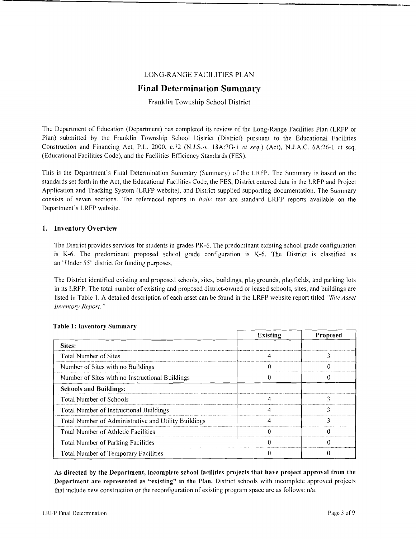# LONG-RANGE FACILITlES PLAN

# **Final Determination Summary**

### Franklin Township School District

The Department of Education (Department) has completed its review of the Long-Range Facilities Plan (LRFP or Plan) submitted by the Franklin Township School District (District) pursuant to the Educational Facilities Construction and Financing Act, P.L. *2000,* c.'72 (N.J.S.A. l8A:7G-1 *et seq.)* (Act), N.J.A.C. 6A:26-1 et seq. (Educational Facilities Code), and the Facilities Efficiency Standards (FES).

This is the Department's Final Determination Summary (Summary) of the LRFP. The Summary is based on the standards set forth in the Act, the Educational Facilities Code, the FES, District entered data in the LRFP and Project Application and Tracking System (LRFP website), and District supplied supporting documentation. The Summary consists of seven sections. The referenced reports in *italic* text are standard LRFP reports available on the Department's LRFP website.

### 1. Inventory Overview

The District provides services for students in grades PK-6. The predominant existing school grade configuration is K-6. The predominant proposed school grade configuration is K-6. The District is classified as an "Under 55" district for funding purposes.

The District identified existing and proposed schools, sites, buildings, playgrounds, playfields, and parking lots in its LRFP. The total number of existing and proposed district-owned or leased schools, sites, and buildings are listed in Table 1. A detailed description of each asset can be found in the LRFP website report titled *"Site Asset Inventory Report. "* 

|                                                      | <b>Existing</b> | <b>Proposed</b> |
|------------------------------------------------------|-----------------|-----------------|
| Sites:                                               |                 |                 |
| Total Number of Sites                                |                 |                 |
| Number of Sites with no Buildings                    |                 |                 |
| Number of Sites with no Instructional Buildings      |                 |                 |
| <b>Schools and Buildings:</b>                        |                 |                 |
| <b>Total Number of Schools</b>                       |                 |                 |
| Total Number of Instructional Buildings              |                 | ٦               |
| Total Number of Administrative and Utility Buildings |                 |                 |
| Total Number of Athletic Facilities                  |                 |                 |
| <b>Total Number of Parking Facilities</b>            |                 |                 |
| <b>Total Number of Temporary Facilities</b>          |                 |                 |

#### Table 1: Inventory Summary

As directed by the Department, incomplete school facilities projects that have project approval from the Department are represented as "existing" in the Plan. District schools with incomplete approved projects that include new construction or the reconfiguration of existing program space are as follows: n/a.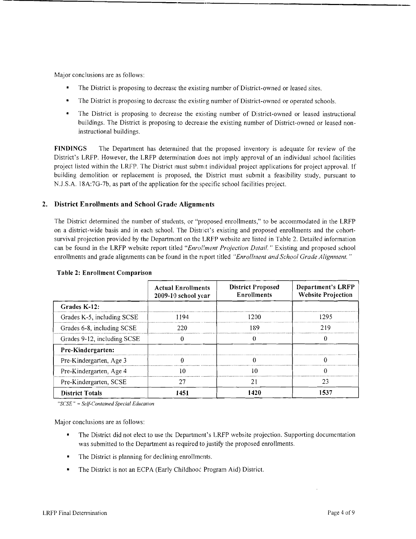Major conclusions are as follows:

- The District is proposing to decrease the existing number of District-owned or leased sites.
- The District is proposing to decrease the existing number of District-owned or operated schools.
- The District is proposing to decrease the existing number of District-owned or leased instructional buildings. The District is proposing to decrease the existing number of District-owned or leased noninstructional buildings.

FINDINGS The Department has determined that the proposed inventory is adequate for review of the District's LRFP. However, the LRFP determination does not imply approval of an individual school facilities project listed within the LRFP. The District must submit individual project applications for project approval. If building demolition or replacement is proposed, the District must submit a feasibility study, pursuant to N.J.S.A. 18A:7G-7b, as part of the application for the specific school facilities project.

# 2. District Enrollments and School Grade Alignments

The District determined the number of students, or "proposed enrollments," to be accommodated in the LRFP on a district-wide basis and in each school. The District's existing and proposed enrollments and the cohortsurvival projection provided by the Department on the LRFP website are listed in Table 2. Detailed information can be found in the LRFP website report titled *"Enrol/ment Projection Detail.* " Existing and proposed school enrollments and grade alignments can be found in the report titled "Enrollment and School Grade Alignment."

| Table 2: Emonitent Comparison |                                                  |                                                |                                                       |  |  |
|-------------------------------|--------------------------------------------------|------------------------------------------------|-------------------------------------------------------|--|--|
|                               | <b>Actual Enrollments</b><br>2009-10 school year | <b>District Proposed</b><br><b>Enrollments</b> | <b>Department's LRFP</b><br><b>Website Projection</b> |  |  |
| Grades K-12:                  |                                                  |                                                |                                                       |  |  |
| Grades K-5, including SCSE    | 1194                                             | 1200                                           | 1295                                                  |  |  |
| Grades 6-8, including SCSE    | 220                                              | 189                                            | 219                                                   |  |  |
| Grades 9-12, including SCSE   |                                                  |                                                | $\Omega$                                              |  |  |
| Pre-Kindergarten:             |                                                  |                                                |                                                       |  |  |
| Pre-Kindergarten, Age 3       | 0                                                |                                                | 0                                                     |  |  |
| Pre-Kindergarten, Age 4       | 10                                               | 10                                             | 0                                                     |  |  |
| Pre-Kindergarten, SCSE        | 27                                               | 21                                             | 23                                                    |  |  |
| <b>District Totals</b>        | 1451                                             | 1420                                           | 1537                                                  |  |  |

#### Table 2: Enrollment Comparison

*"SCSE"* = *Self-Contained Special Education* 

Major conclusions are as follows:

- The District did not elect to use the Department's LRFP website projection. Supporting documentation was submitted to the Department as required to justify the proposed enrollments.
- The District is planning for declining enrollments.
- The District is not an ECPA (Early Childhood Program Aid) District.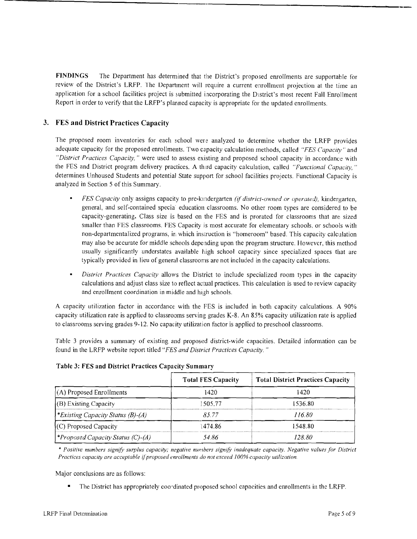FINDINGS The Department has determined that the District's proposed enrollments are supportable for review of the District's LRFP. The Department will require a current enrollment projection at the time an application for a school facilities project is submitted incorporating the D<sub>1</sub>strict's most recent Fall Enrollment Report in order to verify that the LRFP's planned capacity is appropriate for the updated enrollments.

# 3. FES **and District** Practices Capacity

The proposed room inventories for each school were analyzed to determine whether the LRFP provides adequate capacity for the proposed enrollments. Two capacity calculation methods, called *"FES Capacitv"* and "District Practices Capacity," were used to assess existing and proposed school capacity in accordance with the FES and District program delivery practices. A third capacity calculation, called "Functional Capacity," determines Unhoused Students and potential State support for school facilities projects. Functional Capacity is analyzed in Section 5 of this Summary.

- *FES Capacity* only assigns capacity to pre-kmdergarten *(if district-owned or operated),* kindergarten, general, and self-contained specia education classrooms. No other room types are considered to be capacity-generating. Class size is based on the FES and is prorated for classrooms that are sized smaller than FES classrooms. FES Capacity is most accurate for elementary schools. or schools with non-departmentalized programs, in which instruction is "homeroom" based. This capacity calculation may also be accurate for middle schools depending upon the program structure. However, this method usually significantly understates available high school capacity since specialized spaces that are typically provided in lieu of general classrooms are not included in the capacity calculations.
- *District Practices Capacity* allows the District to include specialized room types in the capacity calculations and adjust class size to reflect actual practices. This calculation is used to review capacity and enrollment coordination in middle and high schools.

A capacity utilization factor in accordance with the FES is included in both capacity calculations. A 90% capacity utilization rate is applied to classrooms serving grades K-8. An 85% capacity utilization rate is applied to classrooms serving grades 9-12. No capacity utilization factor is applied to preschool classrooms.

Table 3 provides a summary of existing and proposed district-wide capacities. Detailed information can be found in the LRFP website report titled *"FES and District Practices Capacity. "* 

|                                          | <b>Total FES Capacity</b> | <b>Total District Practices Capacity</b> |
|------------------------------------------|---------------------------|------------------------------------------|
| $(A)$ Proposed Enrollments               | 1420                      | 1420                                     |
| (B) Existing Capacity                    | 505.77                    | 1536.80                                  |
| <i>*Existing Capacity Status (B)-(A)</i> | 85.77                     | 116.80                                   |
| (C) Proposed Capacity                    | 1474 86                   | 1548.80                                  |
| <i>*Proposed Capacity Status (C)-(A)</i> | 54 86                     | 128.80.                                  |

# Table 3: FES and District Practices Capacity Summary

\* *Positive numbers signifY surplus capacity; negative numbers signifY inadequate capacity. Negative values for District Practices capacity are acceptable ljproposed enrollments do not exceed* J*00% capacity utilization.* 

Major conclusions are as follows:

• The District has appropriately coo'dinated proposed school capacities and enrollments in the LRFP.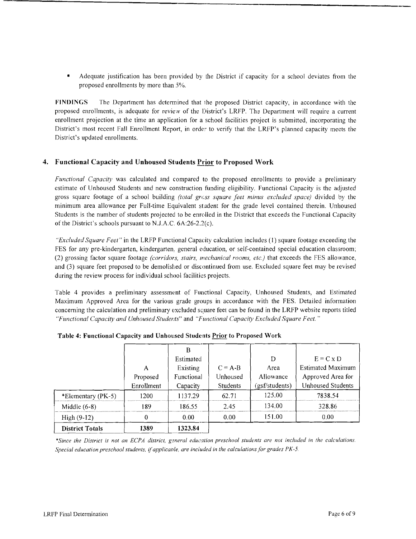Adequate justification has been provided by the District if capacity for a school deviates from the proposed enrollments by more than 5%.

**FINDINGS** The Department has detennined that lhe proposed District capacity, in accordance with the proposed enrollments, is adequate for review of the District's LRFP. The Department will require a current enrollment projection at the time an application for a school facilities project is submitted, incorporating the District's most recent Fall Enrollment Report, in order to verify that the LRFP's planned capacity meets the District's updated enrollments.

### **4. Functional Capacity and Unhoused Students Prior to Proposed 'Nork**

*Functional Capacity* was calculated and compared to the proposed enrollments to provide a preliminary estimate of Unhoused Students and new construction funding eligibility. Functional Capacity is the adjusted gross square footage of a school building *(total grcss square feet minus excluded space)* divided by the minimum area allowance per Full-time Equivalent student for the grade level contained therein. Unhoused Students is the number of students projected to be enrolled in the District that exceeds the Functional Capacity of the District's schools pursuant to N.J.A.C. 6A:26-2.2(c).

*"Excluded Square Feet"* in the LRFP Functional Capacity calculation includes (1) square footage exceeding the FES for any pre-kindergarten, kindergarten, general education, or self-contained special education classroom; (2) grossing factor square footage *(corridors, stairs, mechanical rooms, etc.)* that exceeds the FES allowance, and (3) square feet proposed to be demolished or discontinued from use. Excluded square feet may be revised during the review process for individual school facilities projects.

Table 4 provides a preliminary assessment of Functional Capacity, Unhoused Students, and Estimated Maximum Approved Area for the various grade groups in accordance with the FES. Detailed information concerning the calculation and preliminary excluded square feet can be found in the LRFP website reports titled *"Functional Capacity and Unhoused Students"* and *"Functional Capacity Excluded Square Feet. "* 

| B<br>Estimated<br>Existing<br>А | $C = A-B$                                          | D<br>Area                                              | $E = C x D$<br><b>Estimated Maximum</b> |
|---------------------------------|----------------------------------------------------|--------------------------------------------------------|-----------------------------------------|
|                                 |                                                    |                                                        |                                         |
|                                 |                                                    |                                                        |                                         |
|                                 |                                                    |                                                        |                                         |
|                                 | Unhoused                                           | Allowance                                              | Approved Area for                       |
|                                 | <b>Students</b>                                    | (gsf/students)                                         | Unhoused Students                       |
|                                 | 62.71                                              | 125.00                                                 | 7838.54                                 |
|                                 | 2.45                                               | 134.00                                                 | 328.86                                  |
| 0.00                            | 0.00                                               | 151.00                                                 | 0.00                                    |
|                                 |                                                    |                                                        |                                         |
|                                 | Proposed<br>Enrollment<br>1200<br>189<br>0<br>1389 | Functional<br>Capacity<br>1137.29<br>186.55<br>1323.84 |                                         |

**Table 4: Functional Capacity and Unhoused Students Prior to Proposed Work** 

\*Since the District is not an ECPA district, general education preschool students are not included in the calculations. *Special education preschool students,* if*applicanle, are included in the calculations for grades PK-5.*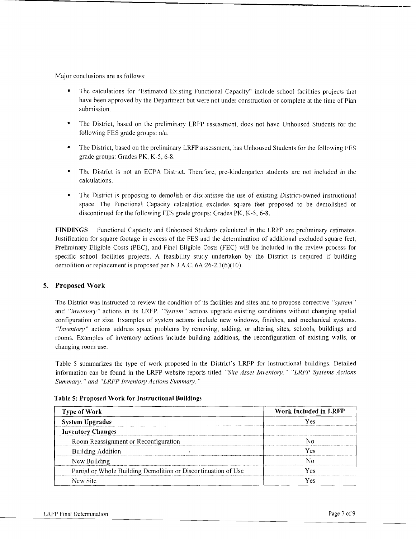Major conclusions are as follows:

- The calculations for "Estimated Existing Functional Capacity" include school facilities projects that have been approved by the Department but were not under construction or complete at the time of Plan submission.
- The District, based on the preliminary LRFP assessment, does not have Unhoused Students for the following FES grade groups: n/a.
- The District, based on the preliminary LRFP assessment, has Unhoused Students for the following FES grade groups: Grades PK, K-5, 6-8.
- The District is not an ECPA District. Therefore, pre-kindergarten students are not included in the calculations.
- The District is proposing to demolish or discontinue the use of existing District-owned instructional space. The Functional Capacity calculation excludes square feet proposed to be demolished or discontinued for the following FES grade groups: Grades PK, K-5, 6-8.

FINDINGS Functional Capacity and Unhoused Students calculated in the LRFP are preliminary estimates. Justification for square footage in excess of the FES and the determination of additional excluded square feet, Preliminary Eligible Costs (PEC), and Final Eligible Costs (FEC) will be included in the review process for specific school facilities projects. A feasibility study undertaken by the District is required if building demolition or replacement is proposed per  $N$ .J.A.C. 6A:26-2.3(b)(10).

# 5. Proposed Work

The District was instructed to review the condition of ts facilities and sites and to propose corrective "system" and *"inventory"* actions in its LRFP. *"System"* actions upgrade existing conditions without changing spatial configuration or size. Examples of system actions include new windows, finishes, and mechanical systems. *"Inventory"* actions address space problems by removing, adding, or altering sites, schools, buildings and rooms. Examples of inventory actions include building additions, the reconfiguration of existing walls, or changing room use.

Table 5 summarizes the type of work proposed in the District's LRFP for instructional buildings. Detailed information can be found in the LRFP website reports titled *"Site Asset Inventory," "LRFP Systems Actions Summary," and "LRFP Inventory Actions Summary."* 

| Type of Work                                                   | Work Included in LRFP |  |
|----------------------------------------------------------------|-----------------------|--|
| <b>System Upgrades</b>                                         | /es                   |  |
| <b>Inventory Changes</b>                                       |                       |  |
| Room Reassignment or Reconfiguration                           |                       |  |
| <b>Building Addition</b>                                       | Vec                   |  |
| New Building                                                   |                       |  |
| Partial or Whole Building Demolition or Discontinuation of Use | ∕ م⊿                  |  |
| New Site                                                       |                       |  |

Table 5: Proposed Work for Instructional Building~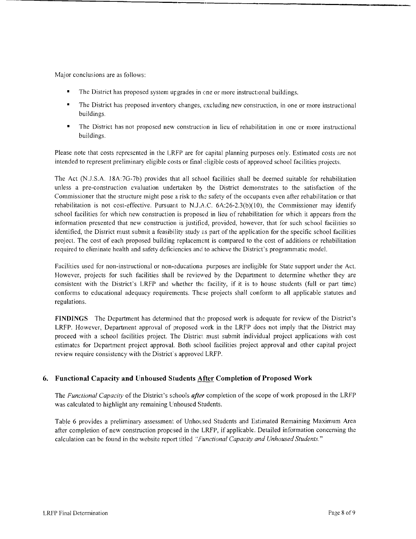Major conclusions are as follows:

- The District has proposed system upgrades in one or more instructional buildings.
- The District has proposed inventory changes, excluding new construction, in one or more instructional buildings.
- The District has not proposed new construction in lieu of rehabilitation in one or more instructional buildings.

Please note that costs represented in the LRFP are for capital planning purposes only. Estimated costs are not intended to represent preliminary eligible costs or final eligible costs of approved school facilities projects.

The Act (N.J.S.A. 18A:7G-7b) provides that all school facilities shall be deemed suitable for rehabilitation unless a pre-construction evaluation undertaken by the District demonstrates to the satisfaction of the Commissioner that the structure might pose a risk to the safety of the occupants even after rehabilitation or that rehabilitation is not cost-effective. Pursuant to N.J.A.C.  $6A:26-2.3(b)(10)$ , the Commissioner may identify school facilities for which new construction is proposed in lieu of rehabilitation for which it appears from the information presented that new construction is justified, provided, however, that for such school facilities so identified, the District must submit a feasibility study as part of the application for the specific school facilities project. The cost of each proposed building replacement is compared to the cost of additions or rehabilitation required to eliminate health and safety deficiencies and to achieve the District's programmatic model.

Facilities used for non-instructional or non-educational purposes are ineligible for State support under the Act. However, projects for such facilities shall be reviewed by the Department to determine whether they are consistent with the District's LRFP and whether the facility, if it is to house students (full or part time) conforms to educational adequacy requirements. These projects shall conform to all applicable statutes and regulations.

**FINDINGS** The Department has determined that the proposed work is adequate for review of the District's LRFP. However, Department approval of proposed work in the LRFP does not imply that the District may proceed with a school facilities project. The District must submit individual project applications with cost estimates for Department project approval. Both school facilities project approval and other capital project review require consistency with the District's approved LRFP.

# **6.** Functional Capacity and Unhoused Students After Completion of Proposed Work

The *Functional Capacity* of the District's schools *after* completion of the scope of work proposed in the LRFP was calculated to highlight any remaining Unhoused Students.

Table 6 provides a preliminary assessment of Unhocsed Students and Estimated Remaining Maximum Area after completion of new construction proposed in the LRFP, if applicable. Detailed information concerning the calculation can be found in the website report titled *"Functional Capacity and Unhoused Students."*